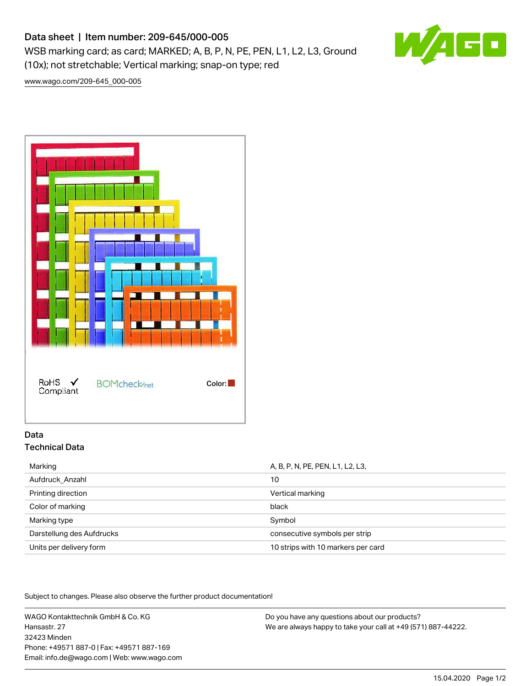# Data sheet | Item number: 209-645/000-005

WSB marking card; as card; MARKED; A, B, P, N, PE, PEN, L1, L2, L3, Ground (10x); not stretchable; Vertical marking; snap-on type; red



[www.wago.com/209-645\\_000-005](http://www.wago.com/209-645_000-005)



# Data Technical Data

| Marking                   | A, B, P, N, PE, PEN, L1, L2, L3,   |
|---------------------------|------------------------------------|
| Aufdruck Anzahl           | 10                                 |
| Printing direction        | Vertical marking                   |
| Color of marking          | black                              |
| Marking type              | Symbol                             |
| Darstellung des Aufdrucks | consecutive symbols per strip      |
| Units per delivery form   | 10 strips with 10 markers per card |

Subject to changes. Please also observe the further product documentation!

WAGO Kontakttechnik GmbH & Co. KG Hansastr. 27 32423 Minden Phone: +49571 887-0 | Fax: +49571 887-169 Email: info.de@wago.com | Web: www.wago.com

Do you have any questions about our products? We are always happy to take your call at +49 (571) 887-44222.